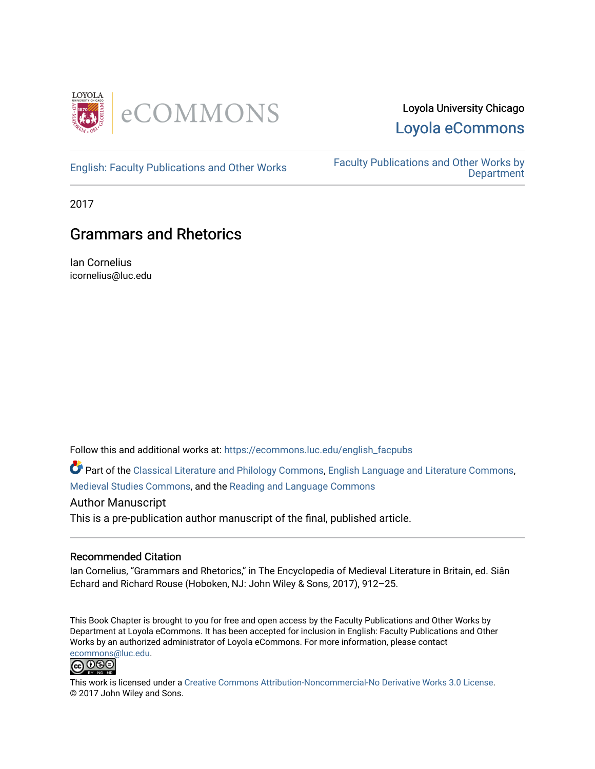

# Loyola University Chicago [Loyola eCommons](https://ecommons.luc.edu/)

[English: Faculty Publications and Other Works](https://ecommons.luc.edu/english_facpubs) Faculty Publications and Other Works by **Department** 

2017

# Grammars and Rhetorics

Ian Cornelius icornelius@luc.edu

Follow this and additional works at: [https://ecommons.luc.edu/english\\_facpubs](https://ecommons.luc.edu/english_facpubs?utm_source=ecommons.luc.edu%2Fenglish_facpubs%2F91&utm_medium=PDF&utm_campaign=PDFCoverPages) 

Part of the [Classical Literature and Philology Commons](https://network.bepress.com/hgg/discipline/451?utm_source=ecommons.luc.edu%2Fenglish_facpubs%2F91&utm_medium=PDF&utm_campaign=PDFCoverPages), [English Language and Literature Commons,](https://network.bepress.com/hgg/discipline/455?utm_source=ecommons.luc.edu%2Fenglish_facpubs%2F91&utm_medium=PDF&utm_campaign=PDFCoverPages) [Medieval Studies Commons](https://network.bepress.com/hgg/discipline/480?utm_source=ecommons.luc.edu%2Fenglish_facpubs%2F91&utm_medium=PDF&utm_campaign=PDFCoverPages), and the [Reading and Language Commons](https://network.bepress.com/hgg/discipline/1037?utm_source=ecommons.luc.edu%2Fenglish_facpubs%2F91&utm_medium=PDF&utm_campaign=PDFCoverPages)

# Author Manuscript

This is a pre-publication author manuscript of the final, published article.

#### Recommended Citation

Ian Cornelius, "Grammars and Rhetorics," in The Encyclopedia of Medieval Literature in Britain, ed. Siân Echard and Richard Rouse (Hoboken, NJ: John Wiley & Sons, 2017), 912–25.

This Book Chapter is brought to you for free and open access by the Faculty Publications and Other Works by Department at Loyola eCommons. It has been accepted for inclusion in English: Faculty Publications and Other Works by an authorized administrator of Loyola eCommons. For more information, please contact [ecommons@luc.edu](mailto:ecommons@luc.edu).



This work is licensed under a [Creative Commons Attribution-Noncommercial-No Derivative Works 3.0 License.](https://creativecommons.org/licenses/by-nc-nd/3.0/) © 2017 John Wiley and Sons.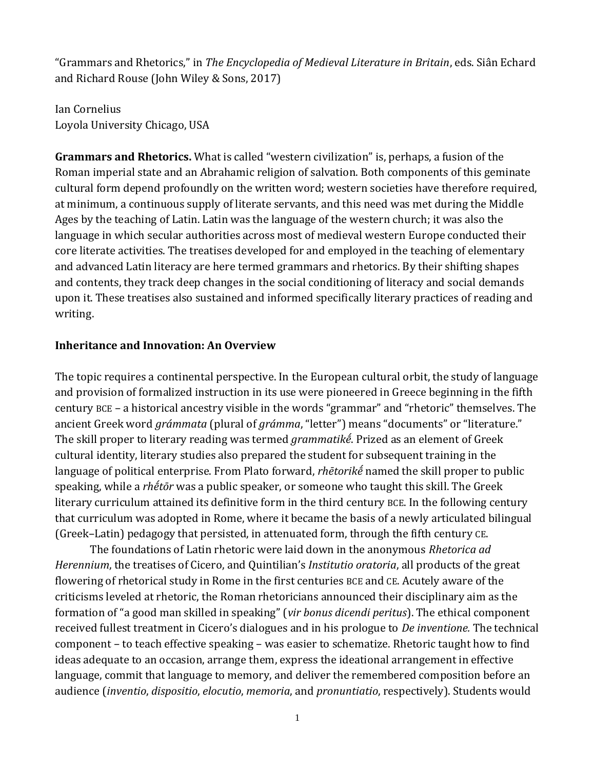"Grammars and Rhetorics," in *The Encyclopedia of Medieval Literature in Britain*, eds. Siân Echard and Richard Rouse (John Wiley & Sons, 2017)

Ian Cornelius Loyola University Chicago, USA

**Grammars and Rhetorics.** What is called "western civilization" is, perhaps, a fusion of the Roman imperial state and an Abrahamic religion of salvation. Both components of this geminate cultural form depend profoundly on the written word; western societies have therefore required, at minimum, a continuous supply of literate servants, and this need was met during the Middle Ages by the teaching of Latin. Latin was the language of the western church; it was also the language in which secular authorities across most of medieval western Europe conducted their core literate activities. The treatises developed for and employed in the teaching of elementary and advanced Latin literacy are here termed grammars and rhetorics. By their shifting shapes and contents, they track deep changes in the social conditioning of literacy and social demands upon it. These treatises also sustained and informed specifically literary practices of reading and writing.

# **Inheritance and Innovation: An Overview**

The topic requires a continental perspective. In the European cultural orbit, the study of language and provision of formalized instruction in its use were pioneered in Greece beginning in the fifth century BCE – a historical ancestry visible in the words "grammar" and "rhetoric" themselves. The ancient Greek word *grámmata* (plural of *grámma*, "letter") means "documents" or "literature." The skill proper to literary reading was termed *grammatikḗ*. Prized as an element of Greek cultural identity, literary studies also prepared the student for subsequent training in the language of political enterprise. From Plato forward, *rhētorikḗ* named the skill proper to public speaking, while a *rhḗtōr* was a public speaker, or someone who taught this skill. The Greek literary curriculum attained its definitive form in the third century BCE. In the following century that curriculum was adopted in Rome, where it became the basis of a newly articulated bilingual (Greek–Latin) pedagogy that persisted, in attenuated form, through the fifth century CE.

The foundations of Latin rhetoric were laid down in the anonymous *Rhetorica ad Herennium*, the treatises of Cicero, and Quintilian's *Institutio oratoria*, all products of the great flowering of rhetorical study in Rome in the first centuries BCE and CE. Acutely aware of the criticisms leveled at rhetoric, the Roman rhetoricians announced their disciplinary aim as the formation of "a good man skilled in speaking" (*vir bonus dicendi peritus*). The ethical component received fullest treatment in Cicero's dialogues and in his prologue to *De inventione.* The technical component – to teach effective speaking – was easier to schematize. Rhetoric taught how to find ideas adequate to an occasion, arrange them, express the ideational arrangement in effective language, commit that language to memory, and deliver the remembered composition before an audience (*inventio*, *dispositio*, *elocutio*, *memoria*, and *pronuntiatio*, respectively). Students would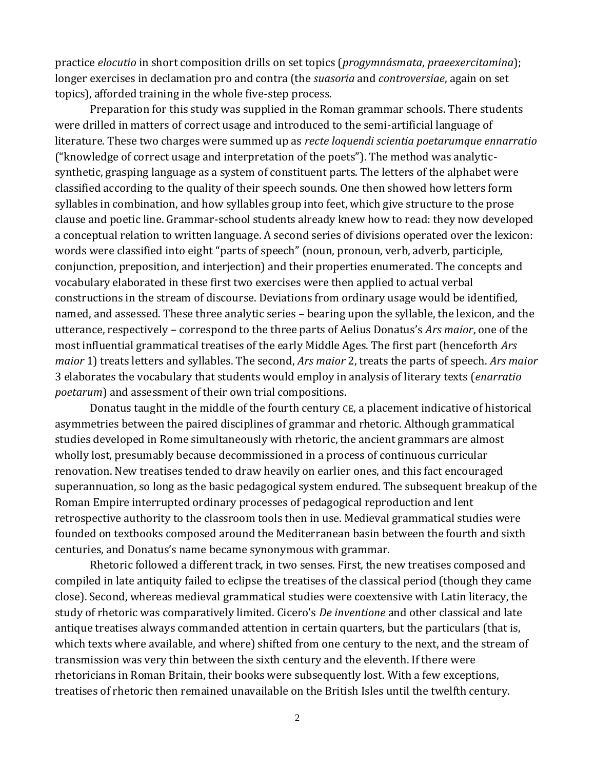practice *elocutio* in short composition drills on set topics (*progymnásmata*, *praeexercitamina*); longer exercises in declamation pro and contra (the *suasoria* and *controversiae*, again on set topics), afforded training in the whole five-step process.

Preparation for this study was supplied in the Roman grammar schools. There students were drilled in matters of correct usage and introduced to the semi-artificial language of literature. These two charges were summed up as *recte loquendi scientia poetarumque ennarratio* ("knowledge of correct usage and interpretation of the poets"). The method was analyticsynthetic, grasping language as a system of constituent parts. The letters of the alphabet were classified according to the quality of their speech sounds. One then showed how letters form syllables in combination, and how syllables group into feet, which give structure to the prose clause and poetic line. Grammar-school students already knew how to read: they now developed a conceptual relation to written language. A second series of divisions operated over the lexicon: words were classified into eight "parts of speech" (noun, pronoun, verb, adverb, participle, conjunction, preposition, and interjection) and their properties enumerated. The concepts and vocabulary elaborated in these first two exercises were then applied to actual verbal constructions in the stream of discourse. Deviations from ordinary usage would be identified, named, and assessed. These three analytic series – bearing upon the syllable, the lexicon, and the utterance, respectively – correspond to the three parts of Aelius Donatus's *Ars maior*, one of the most influential grammatical treatises of the early Middle Ages. The first part (henceforth *Ars maior* 1) treats letters and syllables. The second, *Ars maior* 2, treats the parts of speech. *Ars maior*  3 elaborates the vocabulary that students would employ in analysis of literary texts (*enarratio poetarum*) and assessment of their own trial compositions.

Donatus taught in the middle of the fourth century CE, a placement indicative of historical asymmetries between the paired disciplines of grammar and rhetoric. Although grammatical studies developed in Rome simultaneously with rhetoric, the ancient grammars are almost wholly lost, presumably because decommissioned in a process of continuous curricular renovation. New treatises tended to draw heavily on earlier ones, and this fact encouraged superannuation, so long as the basic pedagogical system endured. The subsequent breakup of the Roman Empire interrupted ordinary processes of pedagogical reproduction and lent retrospective authority to the classroom tools then in use. Medieval grammatical studies were founded on textbooks composed around the Mediterranean basin between the fourth and sixth centuries, and Donatus's name became synonymous with grammar.

Rhetoric followed a different track, in two senses. First, the new treatises composed and compiled in late antiquity failed to eclipse the treatises of the classical period (though they came close). Second, whereas medieval grammatical studies were coextensive with Latin literacy, the study of rhetoric was comparatively limited. Cicero's *De inventione* and other classical and late antique treatises always commanded attention in certain quarters, but the particulars (that is, which texts where available, and where) shifted from one century to the next, and the stream of transmission was very thin between the sixth century and the eleventh. If there were rhetoricians in Roman Britain, their books were subsequently lost. With a few exceptions, treatises of rhetoric then remained unavailable on the British Isles until the twelfth century.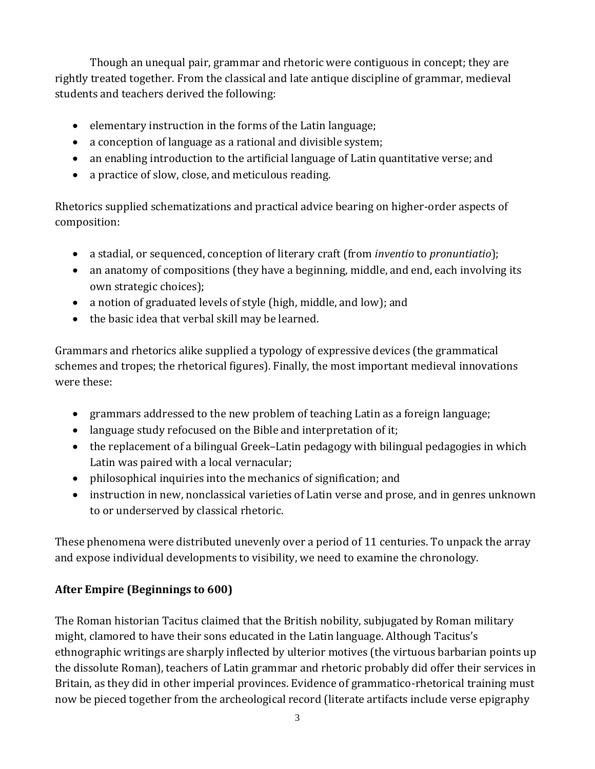Though an unequal pair, grammar and rhetoric were contiguous in concept; they are rightly treated together. From the classical and late antique discipline of grammar, medieval students and teachers derived the following:

- elementary instruction in the forms of the Latin language;
- a conception of language as a rational and divisible system;
- an enabling introduction to the artificial language of Latin quantitative verse; and
- a practice of slow, close, and meticulous reading.

Rhetorics supplied schematizations and practical advice bearing on higher-order aspects of composition:

- a stadial, or sequenced, conception of literary craft (from *inventio* to *pronuntiatio*);
- an anatomy of compositions (they have a beginning, middle, and end, each involving its own strategic choices);
- a notion of graduated levels of style (high, middle, and low); and
- the basic idea that verbal skill may be learned.

Grammars and rhetorics alike supplied a typology of expressive devices (the grammatical schemes and tropes; the rhetorical figures). Finally, the most important medieval innovations were these:

- grammars addressed to the new problem of teaching Latin as a foreign language;
- language study refocused on the Bible and interpretation of it;
- the replacement of a bilingual Greek–Latin pedagogy with bilingual pedagogies in which Latin was paired with a local vernacular;
- philosophical inquiries into the mechanics of signification; and
- instruction in new, nonclassical varieties of Latin verse and prose, and in genres unknown to or underserved by classical rhetoric.

These phenomena were distributed unevenly over a period of 11 centuries. To unpack the array and expose individual developments to visibility, we need to examine the chronology.

# **After Empire (Beginnings to 600)**

The Roman historian Tacitus claimed that the British nobility, subjugated by Roman military might, clamored to have their sons educated in the Latin language. Although Tacitus's ethnographic writings are sharply inflected by ulterior motives (the virtuous barbarian points up the dissolute Roman), teachers of Latin grammar and rhetoric probably did offer their services in Britain, as they did in other imperial provinces. Evidence of grammatico-rhetorical training must now be pieced together from the archeological record (literate artifacts include verse epigraphy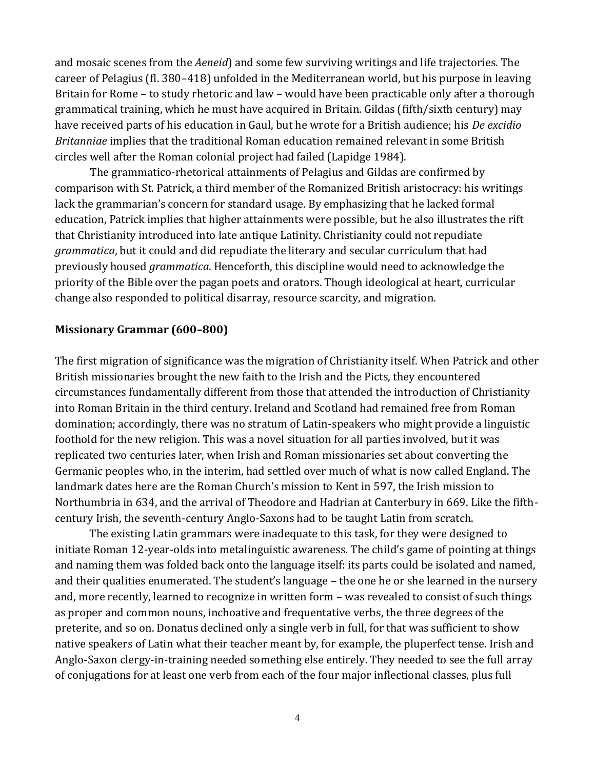and mosaic scenes from the *Aeneid*) and some few surviving writings and life trajectories. The career of Pelagius (fl. 380–418) unfolded in the Mediterranean world, but his purpose in leaving Britain for Rome – to study rhetoric and law – would have been practicable only after a thorough grammatical training, which he must have acquired in Britain. Gildas (fifth/sixth century) may have received parts of his education in Gaul, but he wrote for a British audience; his *De excidio Britanniae* implies that the traditional Roman education remained relevant in some British circles well after the Roman colonial project had failed (Lapidge 1984).

The grammatico-rhetorical attainments of Pelagius and Gildas are confirmed by comparison with St. Patrick, a third member of the Romanized British aristocracy: his writings lack the grammarian's concern for standard usage. By emphasizing that he lacked formal education, Patrick implies that higher attainments were possible, but he also illustrates the rift that Christianity introduced into late antique Latinity. Christianity could not repudiate *grammatica*, but it could and did repudiate the literary and secular curriculum that had previously housed *grammatica*. Henceforth, this discipline would need to acknowledge the priority of the Bible over the pagan poets and orators. Though ideological at heart, curricular change also responded to political disarray, resource scarcity, and migration.

#### **Missionary Grammar (600–800)**

The first migration of significance was the migration of Christianity itself. When Patrick and other British missionaries brought the new faith to the Irish and the Picts, they encountered circumstances fundamentally different from those that attended the introduction of Christianity into Roman Britain in the third century. Ireland and Scotland had remained free from Roman domination; accordingly, there was no stratum of Latin-speakers who might provide a linguistic foothold for the new religion. This was a novel situation for all parties involved, but it was replicated two centuries later, when Irish and Roman missionaries set about converting the Germanic peoples who, in the interim, had settled over much of what is now called England. The landmark dates here are the Roman Church's mission to Kent in 597, the Irish mission to Northumbria in 634, and the arrival of Theodore and Hadrian at Canterbury in 669. Like the fifthcentury Irish, the seventh-century Anglo-Saxons had to be taught Latin from scratch.

The existing Latin grammars were inadequate to this task, for they were designed to initiate Roman 12-year-olds into metalinguistic awareness. The child's game of pointing at things and naming them was folded back onto the language itself: its parts could be isolated and named, and their qualities enumerated. The student's language – the one he or she learned in the nursery and, more recently, learned to recognize in written form – was revealed to consist of such things as proper and common nouns, inchoative and frequentative verbs, the three degrees of the preterite, and so on. Donatus declined only a single verb in full, for that was sufficient to show native speakers of Latin what their teacher meant by, for example, the pluperfect tense. Irish and Anglo-Saxon clergy-in-training needed something else entirely. They needed to see the full array of conjugations for at least one verb from each of the four major inflectional classes, plus full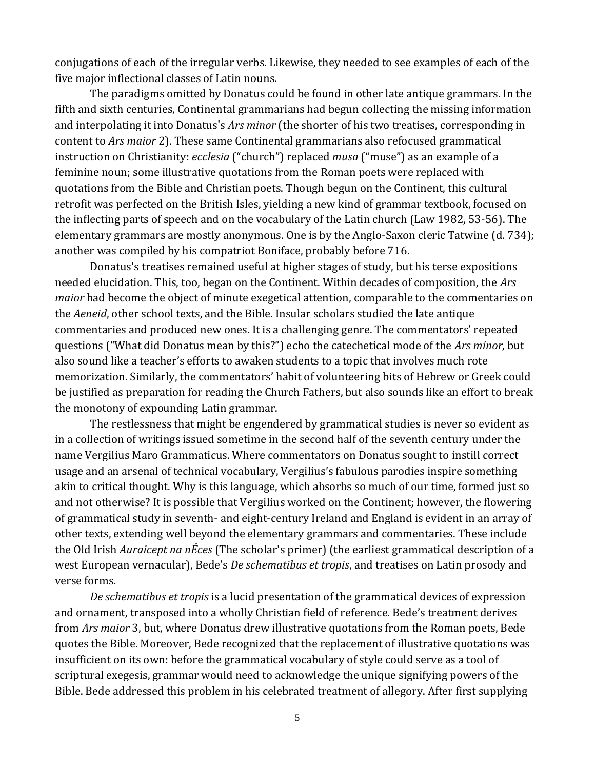conjugations of each of the irregular verbs. Likewise, they needed to see examples of each of the five major inflectional classes of Latin nouns.

The paradigms omitted by Donatus could be found in other late antique grammars. In the fifth and sixth centuries, Continental grammarians had begun collecting the missing information and interpolating it into Donatus's *Ars minor* (the shorter of his two treatises, corresponding in content to *Ars maior* 2). These same Continental grammarians also refocused grammatical instruction on Christianity: *ecclesia* ("church") replaced *musa* ("muse") as an example of a feminine noun; some illustrative quotations from the Roman poets were replaced with quotations from the Bible and Christian poets. Though begun on the Continent, this cultural retrofit was perfected on the British Isles, yielding a new kind of grammar textbook, focused on the inflecting parts of speech and on the vocabulary of the Latin church (Law 1982, 53-56). The elementary grammars are mostly anonymous. One is by the Anglo-Saxon cleric Tatwine (d. 734); another was compiled by his compatriot Boniface, probably before 716.

Donatus's treatises remained useful at higher stages of study, but his terse expositions needed elucidation. This, too, began on the Continent. Within decades of composition, the *Ars maior* had become the object of minute exegetical attention, comparable to the commentaries on the *Aeneid*, other school texts, and the Bible. Insular scholars studied the late antique commentaries and produced new ones. It is a challenging genre. The commentators' repeated questions ("What did Donatus mean by this?") echo the catechetical mode of the *Ars minor*, but also sound like a teacher's efforts to awaken students to a topic that involves much rote memorization. Similarly, the commentators' habit of volunteering bits of Hebrew or Greek could be justified as preparation for reading the Church Fathers, but also sounds like an effort to break the monotony of expounding Latin grammar.

The restlessness that might be engendered by grammatical studies is never so evident as in a collection of writings issued sometime in the second half of the seventh century under the name Vergilius Maro Grammaticus. Where commentators on Donatus sought to instill correct usage and an arsenal of technical vocabulary, Vergilius's fabulous parodies inspire something akin to critical thought. Why is this language, which absorbs so much of our time, formed just so and not otherwise? It is possible that Vergilius worked on the Continent; however, the flowering of grammatical study in seventh- and eight-century Ireland and England is evident in an array of other texts, extending well beyond the elementary grammars and commentaries. These include the Old Irish *Auraicept na nÉces* (The scholar's primer) (the earliest grammatical description of a west European vernacular), Bede's *De schematibus et tropis*, and treatises on Latin prosody and verse forms.

*De schematibus et tropis* is a lucid presentation of the grammatical devices of expression and ornament, transposed into a wholly Christian field of reference. Bede's treatment derives from *Ars maior* 3, but, where Donatus drew illustrative quotations from the Roman poets, Bede quotes the Bible. Moreover, Bede recognized that the replacement of illustrative quotations was insufficient on its own: before the grammatical vocabulary of style could serve as a tool of scriptural exegesis, grammar would need to acknowledge the unique signifying powers of the Bible. Bede addressed this problem in his celebrated treatment of allegory. After first supplying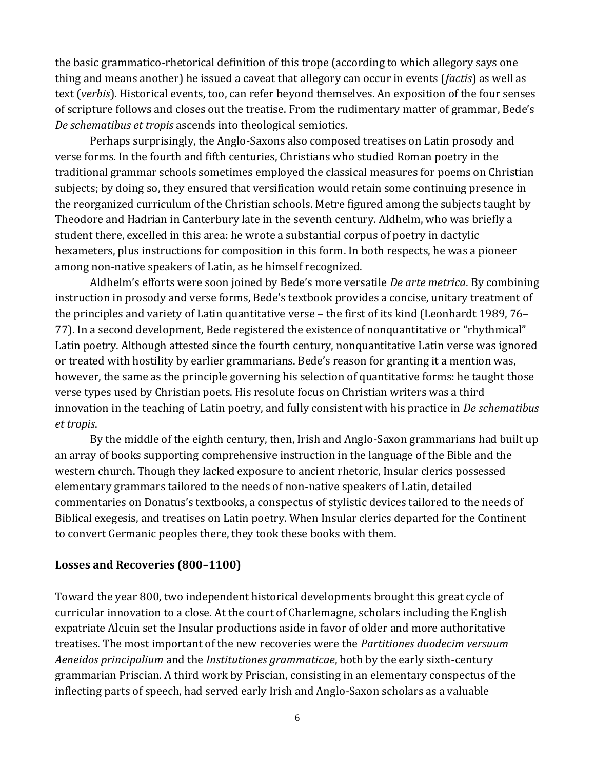the basic grammatico-rhetorical definition of this trope (according to which allegory says one thing and means another) he issued a caveat that allegory can occur in events (*factis*) as well as text (*verbis*). Historical events, too, can refer beyond themselves. An exposition of the four senses of scripture follows and closes out the treatise. From the rudimentary matter of grammar, Bede's *De schematibus et tropis* ascends into theological semiotics.

Perhaps surprisingly, the Anglo-Saxons also composed treatises on Latin prosody and verse forms. In the fourth and fifth centuries, Christians who studied Roman poetry in the traditional grammar schools sometimes employed the classical measures for poems on Christian subjects; by doing so, they ensured that versification would retain some continuing presence in the reorganized curriculum of the Christian schools. Metre figured among the subjects taught by Theodore and Hadrian in Canterbury late in the seventh century. Aldhelm, who was briefly a student there, excelled in this area: he wrote a substantial corpus of poetry in dactylic hexameters, plus instructions for composition in this form. In both respects, he was a pioneer among non-native speakers of Latin, as he himself recognized.

Aldhelm's efforts were soon joined by Bede's more versatile *De arte metrica*. By combining instruction in prosody and verse forms, Bede's textbook provides a concise, unitary treatment of the principles and variety of Latin quantitative verse – the first of its kind (Leonhardt 1989, 76– 77). In a second development, Bede registered the existence of nonquantitative or "rhythmical" Latin poetry. Although attested since the fourth century, nonquantitative Latin verse was ignored or treated with hostility by earlier grammarians. Bede's reason for granting it a mention was, however, the same as the principle governing his selection of quantitative forms: he taught those verse types used by Christian poets. His resolute focus on Christian writers was a third innovation in the teaching of Latin poetry, and fully consistent with his practice in *De schematibus et tropis*.

By the middle of the eighth century, then, Irish and Anglo-Saxon grammarians had built up an array of books supporting comprehensive instruction in the language of the Bible and the western church. Though they lacked exposure to ancient rhetoric, Insular clerics possessed elementary grammars tailored to the needs of non-native speakers of Latin, detailed commentaries on Donatus's textbooks, a conspectus of stylistic devices tailored to the needs of Biblical exegesis, and treatises on Latin poetry. When Insular clerics departed for the Continent to convert Germanic peoples there, they took these books with them.

#### **Losses and Recoveries (800–1100)**

Toward the year 800, two independent historical developments brought this great cycle of curricular innovation to a close. At the court of Charlemagne, scholars including the English expatriate Alcuin set the Insular productions aside in favor of older and more authoritative treatises. The most important of the new recoveries were the *Partitiones duodecim versuum Aeneidos principalium* and the *Institutiones grammaticae*, both by the early sixth-century grammarian Priscian. A third work by Priscian, consisting in an elementary conspectus of the inflecting parts of speech, had served early Irish and Anglo-Saxon scholars as a valuable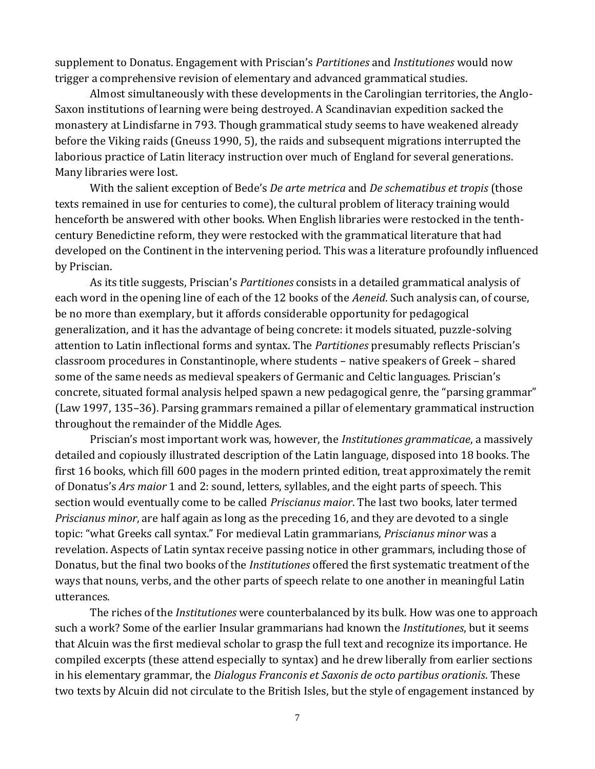supplement to Donatus. Engagement with Priscian's *Partitiones* and *Institutiones* would now trigger a comprehensive revision of elementary and advanced grammatical studies.

Almost simultaneously with these developments in the Carolingian territories, the Anglo-Saxon institutions of learning were being destroyed. A Scandinavian expedition sacked the monastery at Lindisfarne in 793. Though grammatical study seems to have weakened already before the Viking raids (Gneuss 1990, 5), the raids and subsequent migrations interrupted the laborious practice of Latin literacy instruction over much of England for several generations. Many libraries were lost.

With the salient exception of Bede's *De arte metrica* and *De schematibus et tropis* (those texts remained in use for centuries to come), the cultural problem of literacy training would henceforth be answered with other books. When English libraries were restocked in the tenthcentury Benedictine reform, they were restocked with the grammatical literature that had developed on the Continent in the intervening period. This was a literature profoundly influenced by Priscian.

As its title suggests, Priscian's *Partitiones* consists in a detailed grammatical analysis of each word in the opening line of each of the 12 books of the *Aeneid*. Such analysis can, of course, be no more than exemplary, but it affords considerable opportunity for pedagogical generalization, and it has the advantage of being concrete: it models situated, puzzle-solving attention to Latin inflectional forms and syntax. The *Partitiones* presumably reflects Priscian's classroom procedures in Constantinople, where students – native speakers of Greek – shared some of the same needs as medieval speakers of Germanic and Celtic languages. Priscian's concrete, situated formal analysis helped spawn a new pedagogical genre, the "parsing grammar" (Law 1997, 135–36). Parsing grammars remained a pillar of elementary grammatical instruction throughout the remainder of the Middle Ages.

Priscian's most important work was, however, the *Institutiones grammaticae*, a massively detailed and copiously illustrated description of the Latin language, disposed into 18 books. The first 16 books, which fill 600 pages in the modern printed edition, treat approximately the remit of Donatus's *Ars maior* 1 and 2: sound, letters, syllables, and the eight parts of speech. This section would eventually come to be called *Priscianus maior*. The last two books, later termed *Priscianus minor*, are half again as long as the preceding 16, and they are devoted to a single topic: "what Greeks call syntax." For medieval Latin grammarians, *Priscianus minor* was a revelation. Aspects of Latin syntax receive passing notice in other grammars, including those of Donatus, but the final two books of the *Institutiones* offered the first systematic treatment of the ways that nouns, verbs, and the other parts of speech relate to one another in meaningful Latin utterances.

The riches of the *Institutiones* were counterbalanced by its bulk. How was one to approach such a work? Some of the earlier Insular grammarians had known the *Institutiones*, but it seems that Alcuin was the first medieval scholar to grasp the full text and recognize its importance. He compiled excerpts (these attend especially to syntax) and he drew liberally from earlier sections in his elementary grammar, the *Dialogus Franconis et Saxonis de octo partibus orationis*. These two texts by Alcuin did not circulate to the British Isles, but the style of engagement instanced by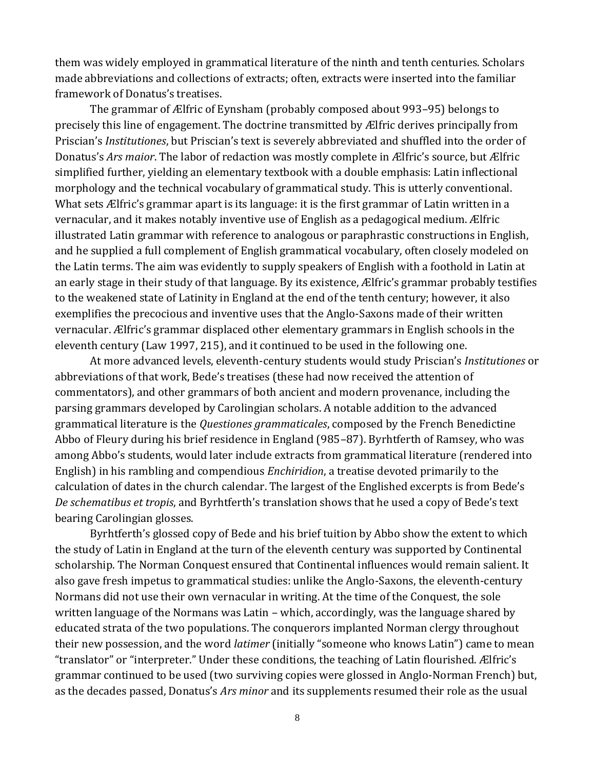them was widely employed in grammatical literature of the ninth and tenth centuries. Scholars made abbreviations and collections of extracts; often, extracts were inserted into the familiar framework of Donatus's treatises.

The grammar of Ælfric of Eynsham (probably composed about 993–95) belongs to precisely this line of engagement. The doctrine transmitted by Ælfric derives principally from Priscian's *Institutiones*, but Priscian's text is severely abbreviated and shuffled into the order of Donatus's *Ars maior*. The labor of redaction was mostly complete in Ælfric's source, but Ælfric simplified further, yielding an elementary textbook with a double emphasis: Latin inflectional morphology and the technical vocabulary of grammatical study. This is utterly conventional. What sets Ælfric's grammar apart is its language: it is the first grammar of Latin written in a vernacular, and it makes notably inventive use of English as a pedagogical medium. Ælfric illustrated Latin grammar with reference to analogous or paraphrastic constructions in English, and he supplied a full complement of English grammatical vocabulary, often closely modeled on the Latin terms. The aim was evidently to supply speakers of English with a foothold in Latin at an early stage in their study of that language. By its existence, Ælfric's grammar probably testifies to the weakened state of Latinity in England at the end of the tenth century; however, it also exemplifies the precocious and inventive uses that the Anglo-Saxons made of their written vernacular. Ælfric's grammar displaced other elementary grammars in English schools in the eleventh century (Law 1997, 215), and it continued to be used in the following one.

At more advanced levels, eleventh-century students would study Priscian's *Institutiones* or abbreviations of that work, Bede's treatises (these had now received the attention of commentators), and other grammars of both ancient and modern provenance, including the parsing grammars developed by Carolingian scholars. A notable addition to the advanced grammatical literature is the *Questiones grammaticales*, composed by the French Benedictine Abbo of Fleury during his brief residence in England (985–87). Byrhtferth of Ramsey, who was among Abbo's students, would later include extracts from grammatical literature (rendered into English) in his rambling and compendious *Enchiridion*, a treatise devoted primarily to the calculation of dates in the church calendar. The largest of the Englished excerpts is from Bede's *De schematibus et tropis*, and Byrhtferth's translation shows that he used a copy of Bede's text bearing Carolingian glosses.

Byrhtferth's glossed copy of Bede and his brief tuition by Abbo show the extent to which the study of Latin in England at the turn of the eleventh century was supported by Continental scholarship. The Norman Conquest ensured that Continental influences would remain salient. It also gave fresh impetus to grammatical studies: unlike the Anglo-Saxons, the eleventh-century Normans did not use their own vernacular in writing. At the time of the Conquest, the sole written language of the Normans was Latin – which, accordingly, was the language shared by educated strata of the two populations. The conquerors implanted Norman clergy throughout their new possession, and the word *latimer* (initially "someone who knows Latin") came to mean "translator" or "interpreter." Under these conditions, the teaching of Latin flourished. Ælfric's grammar continued to be used (two surviving copies were glossed in Anglo-Norman French) but, as the decades passed, Donatus's *Ars minor* and its supplements resumed their role as the usual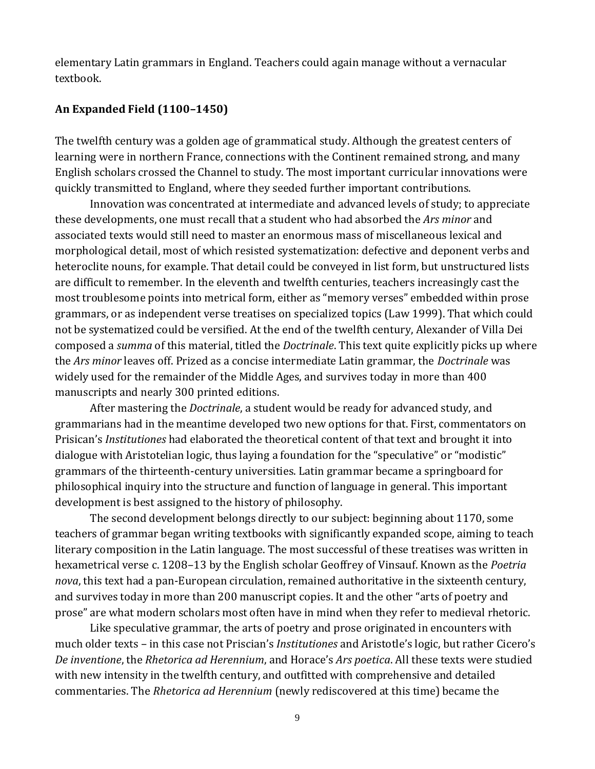elementary Latin grammars in England. Teachers could again manage without a vernacular textbook.

# **An Expanded Field (1100–1450)**

The twelfth century was a golden age of grammatical study. Although the greatest centers of learning were in northern France, connections with the Continent remained strong, and many English scholars crossed the Channel to study. The most important curricular innovations were quickly transmitted to England, where they seeded further important contributions.

Innovation was concentrated at intermediate and advanced levels of study; to appreciate these developments, one must recall that a student who had absorbed the *Ars minor* and associated texts would still need to master an enormous mass of miscellaneous lexical and morphological detail, most of which resisted systematization: defective and deponent verbs and heteroclite nouns, for example. That detail could be conveyed in list form, but unstructured lists are difficult to remember. In the eleventh and twelfth centuries, teachers increasingly cast the most troublesome points into metrical form, either as "memory verses" embedded within prose grammars, or as independent verse treatises on specialized topics (Law 1999). That which could not be systematized could be versified. At the end of the twelfth century, Alexander of Villa Dei composed a *summa* of this material, titled the *Doctrinale*. This text quite explicitly picks up where the *Ars minor* leaves off. Prized as a concise intermediate Latin grammar, the *Doctrinale* was widely used for the remainder of the Middle Ages, and survives today in more than 400 manuscripts and nearly 300 printed editions.

After mastering the *Doctrinale*, a student would be ready for advanced study, and grammarians had in the meantime developed two new options for that. First, commentators on Prisican's *Institutiones* had elaborated the theoretical content of that text and brought it into dialogue with Aristotelian logic, thus laying a foundation for the "speculative" or "modistic" grammars of the thirteenth-century universities. Latin grammar became a springboard for philosophical inquiry into the structure and function of language in general. This important development is best assigned to the history of philosophy.

The second development belongs directly to our subject: beginning about 1170, some teachers of grammar began writing textbooks with significantly expanded scope, aiming to teach literary composition in the Latin language. The most successful of these treatises was written in hexametrical verse c. 1208–13 by the English scholar Geoffrey of Vinsauf. Known as the *Poetria nova*, this text had a pan-European circulation, remained authoritative in the sixteenth century, and survives today in more than 200 manuscript copies. It and the other "arts of poetry and prose" are what modern scholars most often have in mind when they refer to medieval rhetoric.

Like speculative grammar, the arts of poetry and prose originated in encounters with much older texts – in this case not Priscian's *Institutiones* and Aristotle's logic, but rather Cicero's *De inventione*, the *Rhetorica ad Herennium*, and Horace's *Ars poetica*. All these texts were studied with new intensity in the twelfth century, and outfitted with comprehensive and detailed commentaries. The *Rhetorica ad Herennium* (newly rediscovered at this time) became the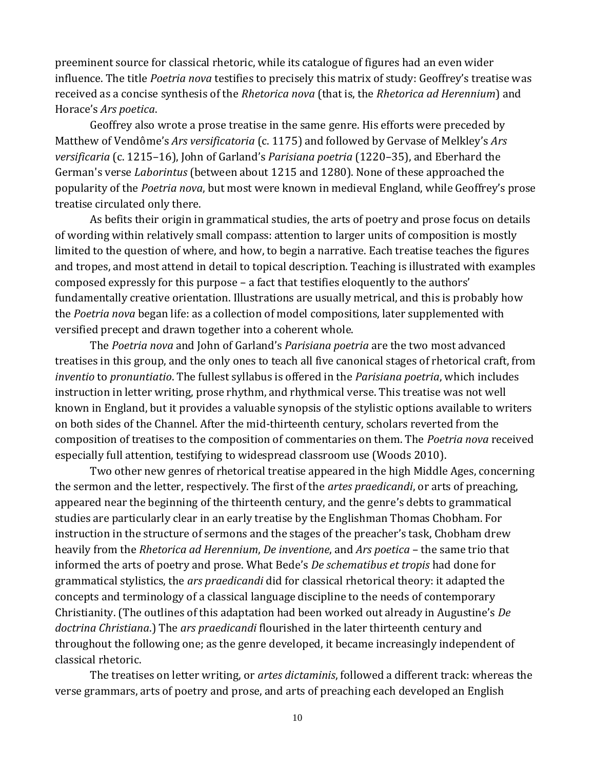preeminent source for classical rhetoric, while its catalogue of figures had an even wider influence. The title *Poetria nova* testifies to precisely this matrix of study: Geoffrey's treatise was received as a concise synthesis of the *Rhetorica nova* (that is, the *Rhetorica ad Herennium*) and Horace's *Ars poetica*.

Geoffrey also wrote a prose treatise in the same genre. His efforts were preceded by Matthew of Vendôme's *Ars versificatoria* (c. 1175) and followed by Gervase of Melkley's *Ars versificaria* (c. 1215–16), John of Garland's *Parisiana poetria* (1220–35), and Eberhard the German's verse *Laborintus* (between about 1215 and 1280). None of these approached the popularity of the *Poetria nova*, but most were known in medieval England, while Geoffrey's prose treatise circulated only there.

As befits their origin in grammatical studies, the arts of poetry and prose focus on details of wording within relatively small compass: attention to larger units of composition is mostly limited to the question of where, and how, to begin a narrative. Each treatise teaches the figures and tropes, and most attend in detail to topical description. Teaching is illustrated with examples composed expressly for this purpose – a fact that testifies eloquently to the authors' fundamentally creative orientation. Illustrations are usually metrical, and this is probably how the *Poetria nova* began life: as a collection of model compositions, later supplemented with versified precept and drawn together into a coherent whole.

The *Poetria nova* and John of Garland's *Parisiana poetria* are the two most advanced treatises in this group, and the only ones to teach all five canonical stages of rhetorical craft, from *inventio* to *pronuntiatio*. The fullest syllabus is offered in the *Parisiana poetria*, which includes instruction in letter writing, prose rhythm, and rhythmical verse. This treatise was not well known in England, but it provides a valuable synopsis of the stylistic options available to writers on both sides of the Channel. After the mid-thirteenth century, scholars reverted from the composition of treatises to the composition of commentaries on them. The *Poetria nova* received especially full attention, testifying to widespread classroom use (Woods 2010).

Two other new genres of rhetorical treatise appeared in the high Middle Ages, concerning the sermon and the letter, respectively. The first of the *artes praedicandi*, or arts of preaching, appeared near the beginning of the thirteenth century, and the genre's debts to grammatical studies are particularly clear in an early treatise by the Englishman Thomas Chobham. For instruction in the structure of sermons and the stages of the preacher's task, Chobham drew heavily from the *Rhetorica ad Herennium*, *De inventione*, and *Ars poetica* – the same trio that informed the arts of poetry and prose. What Bede's *De schematibus et tropis* had done for grammatical stylistics, the *ars praedicandi* did for classical rhetorical theory: it adapted the concepts and terminology of a classical language discipline to the needs of contemporary Christianity. (The outlines of this adaptation had been worked out already in Augustine's *De doctrina Christiana*.) The *ars praedicandi* flourished in the later thirteenth century and throughout the following one; as the genre developed, it became increasingly independent of classical rhetoric.

The treatises on letter writing, or *artes dictaminis*, followed a different track: whereas the verse grammars, arts of poetry and prose, and arts of preaching each developed an English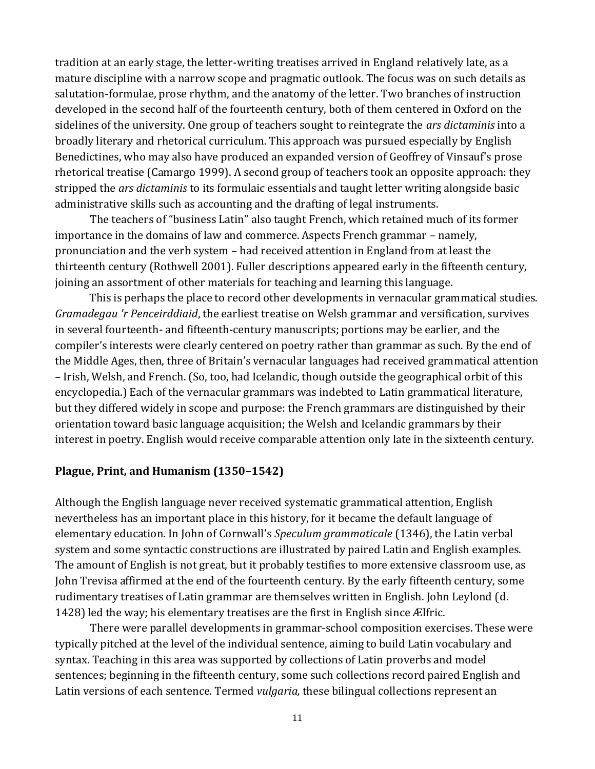tradition at an early stage, the letter-writing treatises arrived in England relatively late, as a mature discipline with a narrow scope and pragmatic outlook. The focus was on such details as salutation-formulae, prose rhythm, and the anatomy of the letter. Two branches of instruction developed in the second half of the fourteenth century, both of them centered in Oxford on the sidelines of the university. One group of teachers sought to reintegrate the *ars dictaminis* into a broadly literary and rhetorical curriculum. This approach was pursued especially by English Benedictines, who may also have produced an expanded version of Geoffrey of Vinsauf's prose rhetorical treatise (Camargo 1999). A second group of teachers took an opposite approach: they stripped the *ars dictaminis* to its formulaic essentials and taught letter writing alongside basic administrative skills such as accounting and the drafting of legal instruments.

The teachers of "business Latin" also taught French, which retained much of its former importance in the domains of law and commerce. Aspects French grammar – namely, pronunciation and the verb system – had received attention in England from at least the thirteenth century (Rothwell 2001). Fuller descriptions appeared early in the fifteenth century, joining an assortment of other materials for teaching and learning this language.

This is perhaps the place to record other developments in vernacular grammatical studies. *Gramadegau 'r Penceirddiaid*, the earliest treatise on Welsh grammar and versification, survives in several fourteenth- and fifteenth-century manuscripts; portions may be earlier, and the compiler's interests were clearly centered on poetry rather than grammar as such. By the end of the Middle Ages, then, three of Britain's vernacular languages had received grammatical attention – Irish, Welsh, and French. (So, too, had Icelandic, though outside the geographical orbit of this encyclopedia.) Each of the vernacular grammars was indebted to Latin grammatical literature, but they differed widely in scope and purpose: the French grammars are distinguished by their orientation toward basic language acquisition; the Welsh and Icelandic grammars by their interest in poetry. English would receive comparable attention only late in the sixteenth century.

### **Plague, Print, and Humanism (1350–1542)**

Although the English language never received systematic grammatical attention, English nevertheless has an important place in this history, for it became the default language of elementary education. In John of Cornwall's *Speculum grammaticale* (1346), the Latin verbal system and some syntactic constructions are illustrated by paired Latin and English examples. The amount of English is not great, but it probably testifies to more extensive classroom use, as John Trevisa affirmed at the end of the fourteenth century. By the early fifteenth century, some rudimentary treatises of Latin grammar are themselves written in English. John Leylond (d. 1428) led the way; his elementary treatises are the first in English since Ælfric.

There were parallel developments in grammar-school composition exercises. These were typically pitched at the level of the individual sentence, aiming to build Latin vocabulary and syntax. Teaching in this area was supported by collections of Latin proverbs and model sentences; beginning in the fifteenth century, some such collections record paired English and Latin versions of each sentence. Termed *vulgaria,* these bilingual collections represent an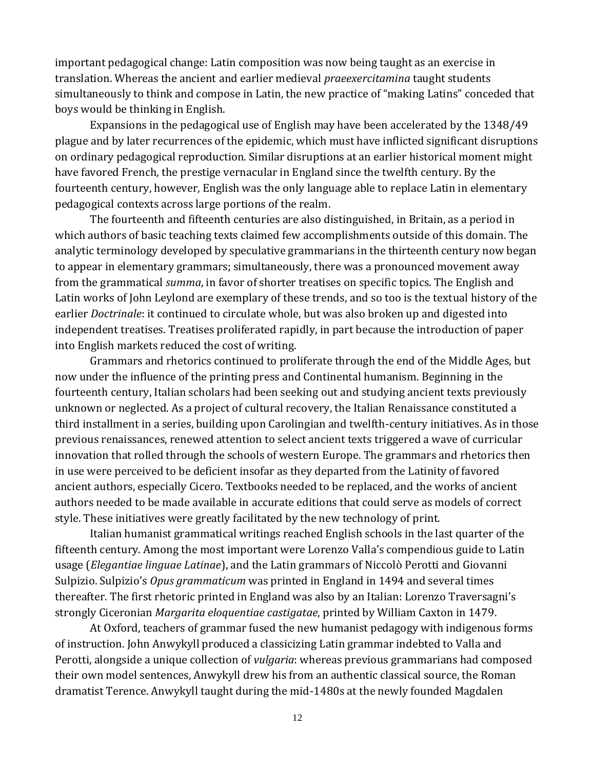important pedagogical change: Latin composition was now being taught as an exercise in translation. Whereas the ancient and earlier medieval *praeexercitamina* taught students simultaneously to think and compose in Latin, the new practice of "making Latins" conceded that boys would be thinking in English.

Expansions in the pedagogical use of English may have been accelerated by the 1348/49 plague and by later recurrences of the epidemic, which must have inflicted significant disruptions on ordinary pedagogical reproduction. Similar disruptions at an earlier historical moment might have favored French, the prestige vernacular in England since the twelfth century. By the fourteenth century, however, English was the only language able to replace Latin in elementary pedagogical contexts across large portions of the realm.

The fourteenth and fifteenth centuries are also distinguished, in Britain, as a period in which authors of basic teaching texts claimed few accomplishments outside of this domain. The analytic terminology developed by speculative grammarians in the thirteenth century now began to appear in elementary grammars; simultaneously, there was a pronounced movement away from the grammatical *summa*, in favor of shorter treatises on specific topics. The English and Latin works of John Leylond are exemplary of these trends, and so too is the textual history of the earlier *Doctrinale*: it continued to circulate whole, but was also broken up and digested into independent treatises. Treatises proliferated rapidly, in part because the introduction of paper into English markets reduced the cost of writing.

Grammars and rhetorics continued to proliferate through the end of the Middle Ages, but now under the influence of the printing press and Continental humanism. Beginning in the fourteenth century, Italian scholars had been seeking out and studying ancient texts previously unknown or neglected. As a project of cultural recovery, the Italian Renaissance constituted a third installment in a series, building upon Carolingian and twelfth-century initiatives. As in those previous renaissances, renewed attention to select ancient texts triggered a wave of curricular innovation that rolled through the schools of western Europe. The grammars and rhetorics then in use were perceived to be deficient insofar as they departed from the Latinity of favored ancient authors, especially Cicero. Textbooks needed to be replaced, and the works of ancient authors needed to be made available in accurate editions that could serve as models of correct style. These initiatives were greatly facilitated by the new technology of print.

Italian humanist grammatical writings reached English schools in the last quarter of the fifteenth century. Among the most important were Lorenzo Valla's compendious guide to Latin usage (*Elegantiae linguae Latinae*), and the Latin grammars of Niccolò Perotti and Giovanni Sulpizio. Sulpizio's *Opus grammaticum* was printed in England in 1494 and several times thereafter. The first rhetoric printed in England was also by an Italian: Lorenzo Traversagni's strongly Ciceronian *Margarita eloquentiae castigatae*, printed by William Caxton in 1479.

At Oxford, teachers of grammar fused the new humanist pedagogy with indigenous forms of instruction. John Anwykyll produced a classicizing Latin grammar indebted to Valla and Perotti, alongside a unique collection of *vulgaria*: whereas previous grammarians had composed their own model sentences, Anwykyll drew his from an authentic classical source, the Roman dramatist Terence. Anwykyll taught during the mid-1480s at the newly founded Magdalen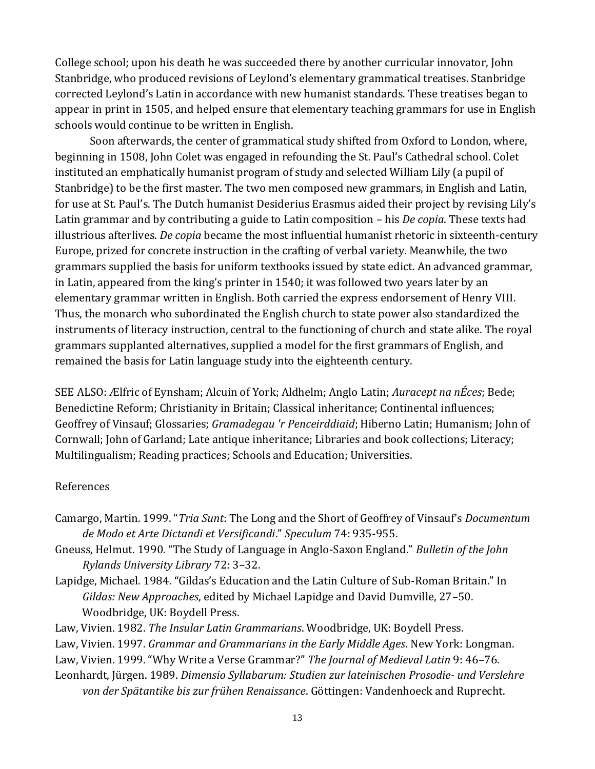College school; upon his death he was succeeded there by another curricular innovator, John Stanbridge, who produced revisions of Leylond's elementary grammatical treatises. Stanbridge corrected Leylond's Latin in accordance with new humanist standards. These treatises began to appear in print in 1505, and helped ensure that elementary teaching grammars for use in English schools would continue to be written in English.

Soon afterwards, the center of grammatical study shifted from Oxford to London, where, beginning in 1508, John Colet was engaged in refounding the St. Paul's Cathedral school. Colet instituted an emphatically humanist program of study and selected William Lily (a pupil of Stanbridge) to be the first master. The two men composed new grammars, in English and Latin, for use at St. Paul's. The Dutch humanist Desiderius Erasmus aided their project by revising Lily's Latin grammar and by contributing a guide to Latin composition – his *De copia*. These texts had illustrious afterlives. *De copia* became the most influential humanist rhetoric in sixteenth-century Europe, prized for concrete instruction in the crafting of verbal variety. Meanwhile, the two grammars supplied the basis for uniform textbooks issued by state edict. An advanced grammar, in Latin, appeared from the king's printer in 1540; it was followed two years later by an elementary grammar written in English. Both carried the express endorsement of Henry VIII. Thus, the monarch who subordinated the English church to state power also standardized the instruments of literacy instruction, central to the functioning of church and state alike. The royal grammars supplanted alternatives, supplied a model for the first grammars of English, and remained the basis for Latin language study into the eighteenth century.

SEE ALSO: Ælfric of Eynsham; Alcuin of York; Aldhelm; Anglo Latin; *Auracept na nÉces*; Bede; Benedictine Reform; Christianity in Britain; Classical inheritance; Continental influences; Geoffrey of Vinsauf; Glossaries; *Gramadegau 'r Penceirddiaid*; Hiberno Latin; Humanism; John of Cornwall; John of Garland; Late antique inheritance; Libraries and book collections; Literacy; Multilingualism; Reading practices; Schools and Education; Universities.

# References

- Camargo, Martin. 1999. "*Tria Sunt*: The Long and the Short of Geoffrey of Vinsauf's *Documentum de Modo et Arte Dictandi et Versificandi*." *Speculum* 74: 935-955.
- Gneuss, Helmut. 1990. "The Study of Language in Anglo-Saxon England." *Bulletin of the John Rylands University Library* 72: 3–32.
- Lapidge, Michael. 1984. "Gildas's Education and the Latin Culture of Sub-Roman Britain." In *Gildas: New Approaches*, edited by Michael Lapidge and David Dumville, 27–50. Woodbridge, UK: Boydell Press.
- Law, Vivien. 1982. *The Insular Latin Grammarians*. Woodbridge, UK: Boydell Press.
- Law, Vivien. 1997. *Grammar and Grammarians in the Early Middle Ages*. New York: Longman.
- Law, Vivien. 1999. "Why Write a Verse Grammar?" *The Journal of Medieval Latin* 9: 46–76.
- Leonhardt, Jürgen. 1989. *Dimensio Syllabarum: Studien zur lateinischen Prosodie- und Verslehre von der Spätantike bis zur frühen Renaissance*. Göttingen: Vandenhoeck and Ruprecht.